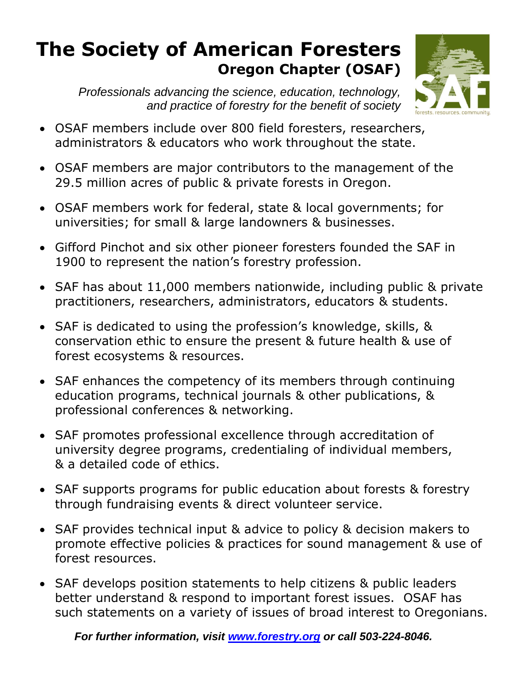## **The Society of American Foresters Oregon Chapter (OSAF)**

*Professionals advancing the science, education, technology, and practice of forestry for the benefit of society*



- OSAF members include over 800 field foresters, researchers, administrators & educators who work throughout the state.
- OSAF members are major contributors to the management of the 29.5 million acres of public & private forests in Oregon.
- OSAF members work for federal, state & local governments; for universities; for small & large landowners & businesses.
- Gifford Pinchot and six other pioneer foresters founded the SAF in 1900 to represent the nation's forestry profession.
- SAF has about 11,000 members nationwide, including public & private practitioners, researchers, administrators, educators & students.
- SAF is dedicated to using the profession's knowledge, skills, & conservation ethic to ensure the present & future health & use of forest ecosystems & resources.
- SAF enhances the competency of its members through continuing education programs, technical journals & other publications, & professional conferences & networking.
- SAF promotes professional excellence through accreditation of university degree programs, credentialing of individual members, & a detailed code of ethics.
- SAF supports programs for public education about forests & forestry through fundraising events & direct volunteer service.
- SAF provides technical input & advice to policy & decision makers to promote effective policies & practices for sound management & use of forest resources.
- SAF develops position statements to help citizens & public leaders better understand & respond to important forest issues. OSAF has such statements on a variety of issues of broad interest to Oregonians.

*For further information, visit [www.forestry.org](http://www.forestry.org/) or call 503-224-8046.*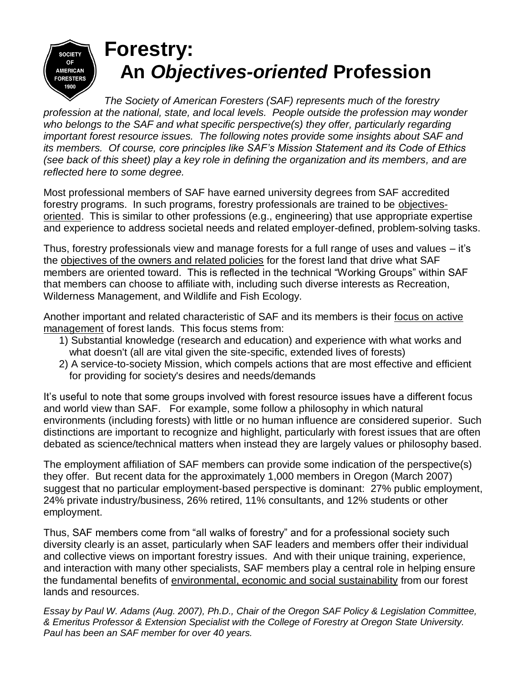

# **Forestry: An** *Objectives-oriented* **Profession**

*The Society of American Foresters (SAF) represents much of the forestry profession at the national, state, and local levels. People outside the profession may wonder who belongs to the SAF and what specific perspective(s) they offer, particularly regarding important forest resource issues. The following notes provide some insights about SAF and its members. Of course, core principles like SAF's Mission Statement and its Code of Ethics (see back of this sheet) play a key role in defining the organization and its members, and are reflected here to some degree.*

Most professional members of SAF have earned university degrees from SAF accredited forestry programs. In such programs, forestry professionals are trained to be objectivesoriented. This is similar to other professions (e.g., engineering) that use appropriate expertise and experience to address societal needs and related employer-defined, problem-solving tasks.

Thus, forestry professionals view and manage forests for a full range of uses and values – it's the objectives of the owners and related policies for the forest land that drive what SAF members are oriented toward. This is reflected in the technical "Working Groups" within SAF that members can choose to affiliate with, including such diverse interests as Recreation, Wilderness Management, and Wildlife and Fish Ecology.

Another important and related characteristic of SAF and its members is their focus on active management of forest lands. This focus stems from:

- 1) Substantial knowledge (research and education) and experience with what works and what doesn't (all are vital given the site-specific, extended lives of forests)
- 2) A service-to-society Mission, which compels actions that are most effective and efficient for providing for society's desires and needs/demands

It's useful to note that some groups involved with forest resource issues have a different focus and world view than SAF. For example, some follow a philosophy in which natural environments (including forests) with little or no human influence are considered superior. Such distinctions are important to recognize and highlight, particularly with forest issues that are often debated as science/technical matters when instead they are largely values or philosophy based.

The employment affiliation of SAF members can provide some indication of the perspective(s) they offer. But recent data for the approximately 1,000 members in Oregon (March 2007) suggest that no particular employment-based perspective is dominant: 27% public employment, 24% private industry/business, 26% retired, 11% consultants, and 12% students or other employment.

Thus, SAF members come from "all walks of forestry" and for a professional society such diversity clearly is an asset, particularly when SAF leaders and members offer their individual and collective views on important forestry issues. And with their unique training, experience, and interaction with many other specialists, SAF members play a central role in helping ensure the fundamental benefits of environmental, economic and social sustainability from our forest lands and resources.

*Essay by Paul W. Adams (Aug. 2007), Ph.D., Chair of the Oregon SAF Policy & Legislation Committee, & Emeritus Professor & Extension Specialist with the College of Forestry at Oregon State University. Paul has been an SAF member for over 40 years.*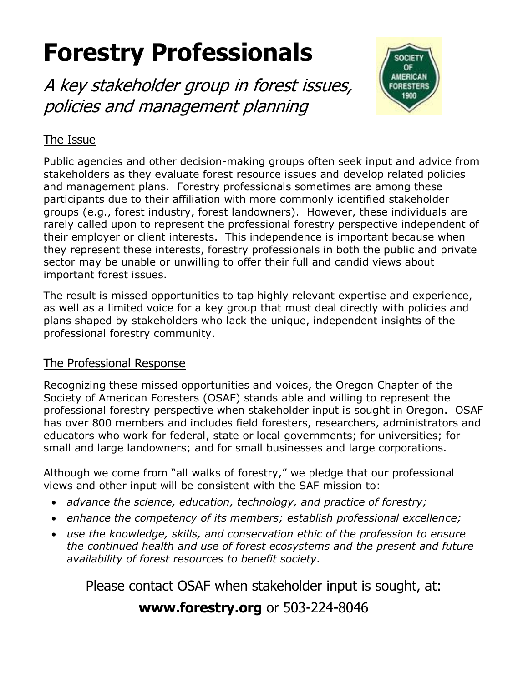# **Forestry Professionals**

A key stakeholder group in forest issues, policies and management planning



## The Issue

Public agencies and other decision-making groups often seek input and advice from stakeholders as they evaluate forest resource issues and develop related policies and management plans. Forestry professionals sometimes are among these participants due to their affiliation with more commonly identified stakeholder groups (e.g., forest industry, forest landowners). However, these individuals are rarely called upon to represent the professional forestry perspective independent of their employer or client interests. This independence is important because when they represent these interests, forestry professionals in both the public and private sector may be unable or unwilling to offer their full and candid views about important forest issues.

The result is missed opportunities to tap highly relevant expertise and experience, as well as a limited voice for a key group that must deal directly with policies and plans shaped by stakeholders who lack the unique, independent insights of the professional forestry community.

#### The Professional Response

Recognizing these missed opportunities and voices, the Oregon Chapter of the Society of American Foresters (OSAF) stands able and willing to represent the professional forestry perspective when stakeholder input is sought in Oregon. OSAF has over 800 members and includes field foresters, researchers, administrators and educators who work for federal, state or local governments; for universities; for small and large landowners; and for small businesses and large corporations.

Although we come from "all walks of forestry," we pledge that our professional views and other input will be consistent with the SAF mission to:

- *advance the science, education, technology, and practice of forestry;*
- *enhance the competency of its members; establish professional excellence;*
- *use the knowledge, skills, and conservation ethic of the profession to ensure the continued health and use of forest ecosystems and the present and future availability of forest resources to benefit society.*

Please contact OSAF when stakeholder input is sought, at:

## **www.forestry.org** or 503-224-8046